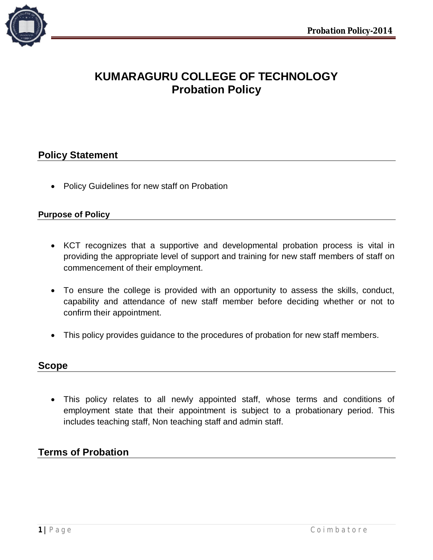

# **KUMARAGURU COLLEGE OF TECHNOLOGY Probation Policy**

# **Policy Statement**

• Policy Guidelines for new staff on Probation

## **Purpose of Policy**

- KCT recognizes that a supportive and developmental probation process is vital in providing the appropriate level of support and training for new staff members of staff on commencement of their employment.
- To ensure the college is provided with an opportunity to assess the skills, conduct, capability and attendance of new staff member before deciding whether or not to confirm their appointment.
- This policy provides guidance to the procedures of probation for new staff members.

## **Scope**

 This policy relates to all newly appointed staff, whose terms and conditions of employment state that their appointment is subject to a probationary period. This includes teaching staff, Non teaching staff and admin staff.

# **Terms of Probation**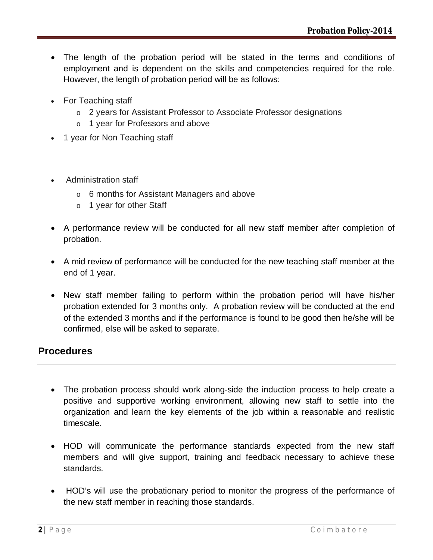- The length of the probation period will be stated in the terms and conditions of employment and is dependent on the skills and competencies required for the role. However, the length of probation period will be as follows:
- For Teaching staff
	- o 2 years for Assistant Professor to Associate Professor designations
	- o 1 year for Professors and above
- 1 year for Non Teaching staff
- Administration staff
	- o 6 months for Assistant Managers and above
	- o 1 year for other Staff
- A performance review will be conducted for all new staff member after completion of probation.
- A mid review of performance will be conducted for the new teaching staff member at the end of 1 year.
- New staff member failing to perform within the probation period will have his/her probation extended for 3 months only. A probation review will be conducted at the end of the extended 3 months and if the performance is found to be good then he/she will be confirmed, else will be asked to separate.

# **Procedures**

- The probation process should work along-side the induction process to help create a positive and supportive working environment, allowing new staff to settle into the organization and learn the key elements of the job within a reasonable and realistic timescale.
- HOD will communicate the performance standards expected from the new staff members and will give support, training and feedback necessary to achieve these standards.
- HOD's will use the probationary period to monitor the progress of the performance of the new staff member in reaching those standards.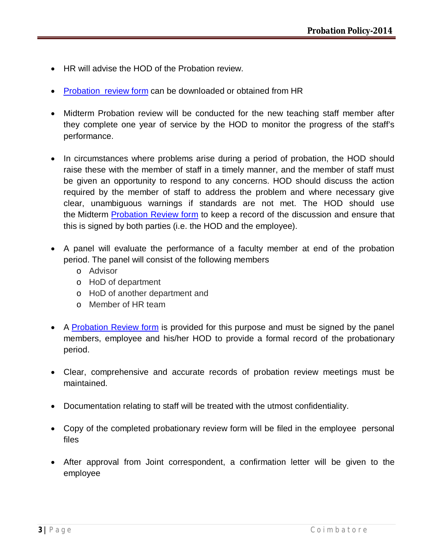- HR will advise the HOD of the Probation review.
- Probation review form can be downloaded or obtained from HR
- Midterm Probation review will be conducted for the new teaching staff member after they complete one year of service by the HOD to monitor the progress of the staff's performance.
- In circumstances where problems arise during a period of probation, the HOD should raise these with the member of staff in a timely manner, and the member of staff must be given an opportunity to respond to any concerns. HOD should discuss the action required by the member of staff to address the problem and where necessary give clear, unambiguous warnings if standards are not met. The HOD should use the Midterm Probation Review form to keep a record of the discussion and ensure that this is signed by both parties (i.e. the HOD and the employee).
- A panel will evaluate the performance of a faculty member at end of the probation period. The panel will consist of the following members
	- o Advisor
	- o HoD of department
	- o HoD of another department and
	- o Member of HR team
- A Probation Review form is provided for this purpose and must be signed by the panel members, employee and his/her HOD to provide a formal record of the probationary period.
- Clear, comprehensive and accurate records of probation review meetings must be maintained.
- Documentation relating to staff will be treated with the utmost confidentiality.
- Copy of the completed probationary review form will be filed in the employee personal files
- After approval from Joint correspondent, a confirmation letter will be given to the employee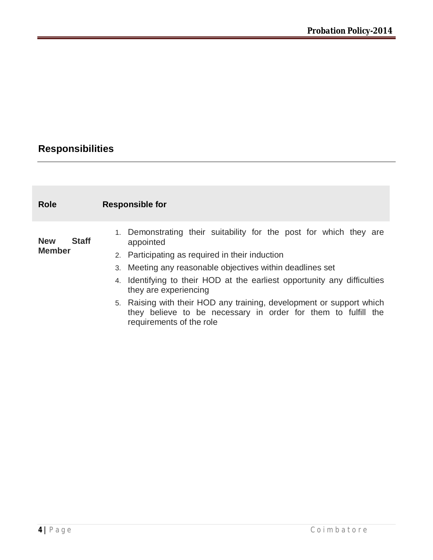# **Responsibilities**

| <b>Role</b>                 |              | <b>Responsible for</b>                                                                                                                                            |
|-----------------------------|--------------|-------------------------------------------------------------------------------------------------------------------------------------------------------------------|
| <b>New</b><br><b>Member</b> | <b>Staff</b> | 1. Demonstrating their suitability for the post for which they are<br>appointed<br>2. Participating as required in their induction                                |
|                             |              | 3. Meeting any reasonable objectives within deadlines set                                                                                                         |
|                             |              | 4. Identifying to their HOD at the earliest opportunity any difficulties<br>they are experiencing                                                                 |
|                             |              | 5. Raising with their HOD any training, development or support which<br>they believe to be necessary in order for them to fulfill the<br>requirements of the role |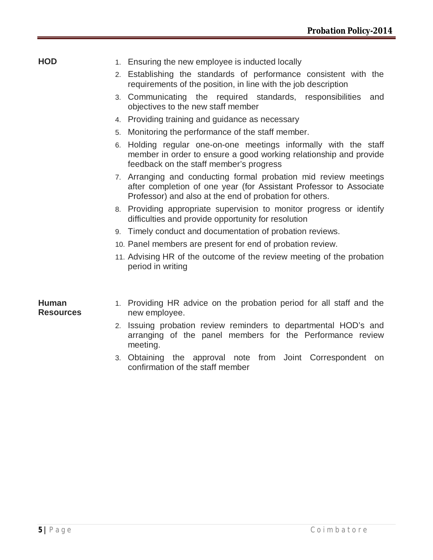- **HOD** 1. Ensuring the new employee is inducted locally
	- 2. Establishing the standards of performance consistent with the requirements of the position, in line with the job description
	- 3. Communicating the required standards, responsibilities and objectives to the new staff member
	- 4. Providing training and guidance as necessary
	- 5. Monitoring the performance of the staff member.
	- 6. Holding regular one-on-one meetings informally with the staff member in order to ensure a good working relationship and provide feedback on the staff member's progress
	- 7. Arranging and conducting formal probation mid review meetings after completion of one year (for Assistant Professor to Associate Professor) and also at the end of probation for others.
	- 8. Providing appropriate supervision to monitor progress or identify difficulties and provide opportunity for resolution
	- 9. Timely conduct and documentation of probation reviews.
	- 10. Panel members are present for end of probation review.
	- 11. Advising HR of the outcome of the review meeting of the probation period in writing

## **Human Resources**

- 1. Providing HR advice on the probation period for all staff and the new employee.
- 2. Issuing probation review reminders to departmental HOD's and arranging of the panel members for the Performance review meeting.
- 3. Obtaining the approval note from Joint Correspondent on confirmation of the staff member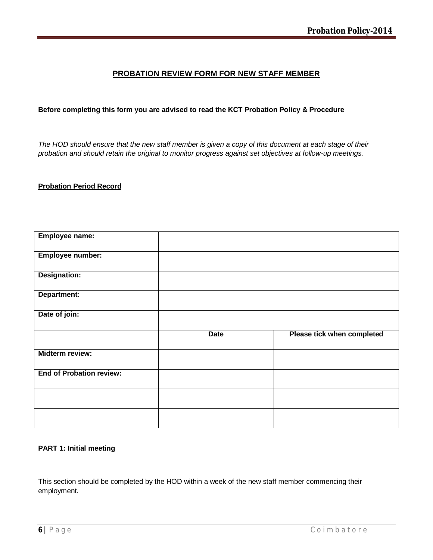## **PROBATION REVIEW FORM FOR NEW STAFF MEMBER**

### **Before completing this form you are advised to read the KCT Probation Policy & Procedure**

*The HOD should ensure that the new staff member is given a copy of this document at each stage of their probation and should retain the original to monitor progress against set objectives at follow-up meetings.*

#### **Probation Period Record**

| Employee name:                  |             |                            |
|---------------------------------|-------------|----------------------------|
| Employee number:                |             |                            |
| Designation:                    |             |                            |
| Department:                     |             |                            |
| Date of join:                   |             |                            |
|                                 |             |                            |
|                                 | <b>Date</b> | Please tick when completed |
| <b>Midterm review:</b>          |             |                            |
| <b>End of Probation review:</b> |             |                            |
|                                 |             |                            |

#### **PART 1: Initial meeting**

This section should be completed by the HOD within a week of the new staff member commencing their employment.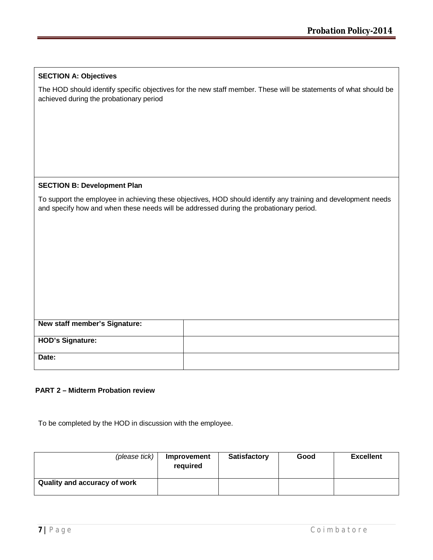|  | <b>SECTION A: Objectives</b> |
|--|------------------------------|
|--|------------------------------|

The HOD should identify specific objectives for the new staff member. These will be statements of what should be achieved during the probationary period

#### **SECTION B: Development Plan**

To support the employee in achieving these objectives, HOD should identify any training and development needs and specify how and when these needs will be addressed during the probationary period.

| New staff member's Signature: |  |
|-------------------------------|--|
|                               |  |
|                               |  |
| <b>HOD's Signature:</b>       |  |
|                               |  |
|                               |  |
| Date:                         |  |
|                               |  |
|                               |  |
|                               |  |

### **PART 2 – Midterm Probation review**

To be completed by the HOD in discussion with the employee.

| (please tick)                | Improvement<br>required | <b>Satisfactory</b> | Good | <b>Excellent</b> |
|------------------------------|-------------------------|---------------------|------|------------------|
| Quality and accuracy of work |                         |                     |      |                  |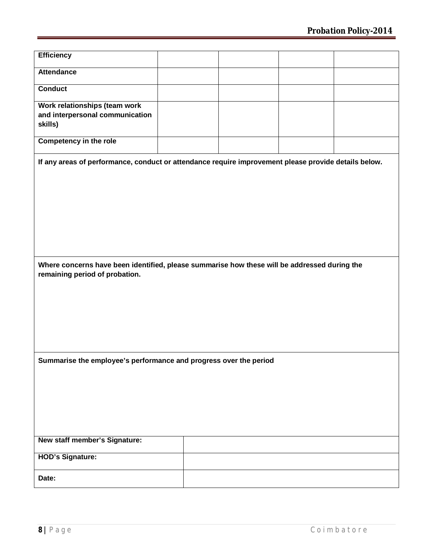| <b>Efficiency</b>                                                                                                              |  |  |  |  |
|--------------------------------------------------------------------------------------------------------------------------------|--|--|--|--|
| <b>Attendance</b>                                                                                                              |  |  |  |  |
| <b>Conduct</b>                                                                                                                 |  |  |  |  |
| Work relationships (team work<br>and interpersonal communication<br>skills)                                                    |  |  |  |  |
| <b>Competency in the role</b>                                                                                                  |  |  |  |  |
| If any areas of performance, conduct or attendance require improvement please provide details below.                           |  |  |  |  |
| Where concerns have been identified, please summarise how these will be addressed during the<br>remaining period of probation. |  |  |  |  |
| Summarise the employee's performance and progress over the period                                                              |  |  |  |  |
|                                                                                                                                |  |  |  |  |
| New staff member's Signature:                                                                                                  |  |  |  |  |
|                                                                                                                                |  |  |  |  |
| <b>HOD's Signature:</b>                                                                                                        |  |  |  |  |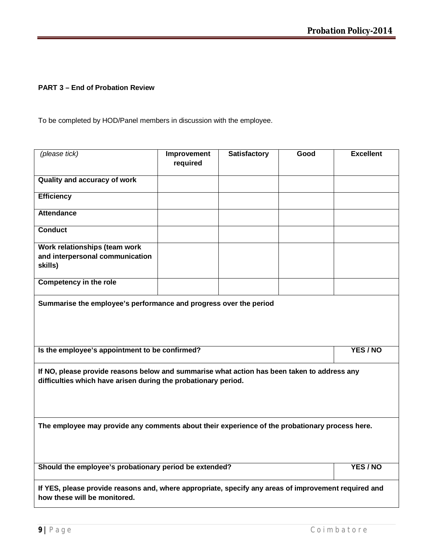## **PART 3 – End of Probation Review**

To be completed by HOD/Panel members in discussion with the employee.

| (please tick)                                                                                                                                                 | Improvement<br>required | <b>Satisfactory</b> | Good | <b>Excellent</b> |  |
|---------------------------------------------------------------------------------------------------------------------------------------------------------------|-------------------------|---------------------|------|------------------|--|
| Quality and accuracy of work                                                                                                                                  |                         |                     |      |                  |  |
| <b>Efficiency</b>                                                                                                                                             |                         |                     |      |                  |  |
| <b>Attendance</b>                                                                                                                                             |                         |                     |      |                  |  |
| <b>Conduct</b>                                                                                                                                                |                         |                     |      |                  |  |
| Work relationships (team work<br>and interpersonal communication<br>skills)                                                                                   |                         |                     |      |                  |  |
| <b>Competency in the role</b>                                                                                                                                 |                         |                     |      |                  |  |
| Summarise the employee's performance and progress over the period                                                                                             |                         |                     |      |                  |  |
| Is the employee's appointment to be confirmed?                                                                                                                |                         |                     |      | YES / NO         |  |
| If NO, please provide reasons below and summarise what action has been taken to address any<br>difficulties which have arisen during the probationary period. |                         |                     |      |                  |  |
| The employee may provide any comments about their experience of the probationary process here.                                                                |                         |                     |      |                  |  |
| Should the employee's probationary period be extended?                                                                                                        |                         |                     |      | YES / NO         |  |
| If YES, please provide reasons and, where appropriate, specify any areas of improvement required and<br>how these will be monitored.                          |                         |                     |      |                  |  |